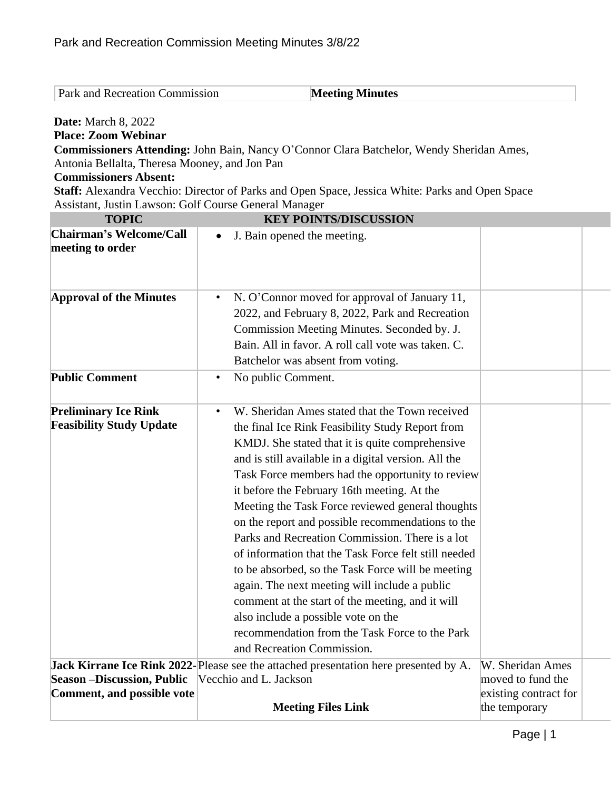| <b>Park and Recreation Commission</b> | <b>Meeting Minutes</b> |
|---------------------------------------|------------------------|
|                                       |                        |

**Date:** March 8, 2022

**Place: Zoom Webinar**

**Commissioners Attending:** John Bain, Nancy O'Connor Clara Batchelor, Wendy Sheridan Ames, Antonia Bellalta, Theresa Mooney, and Jon Pan

## **Commissioners Absent:**

**Staff:** Alexandra Vecchio: Director of Parks and Open Space, Jessica White: Parks and Open Space Assistant, Justin Lawson: Golf Course General Manager

| <b>TOPIC</b>                                                   | <b>KEY POINTS/DISCUSSION</b>                                                                                                                                                                                                                                                                                                                                                                                                                                                                                                                                                                                                                                                                                                                                                                                                       |                                        |  |
|----------------------------------------------------------------|------------------------------------------------------------------------------------------------------------------------------------------------------------------------------------------------------------------------------------------------------------------------------------------------------------------------------------------------------------------------------------------------------------------------------------------------------------------------------------------------------------------------------------------------------------------------------------------------------------------------------------------------------------------------------------------------------------------------------------------------------------------------------------------------------------------------------------|----------------------------------------|--|
| <b>Chairman's Welcome/Call</b><br>meeting to order             | J. Bain opened the meeting.<br>$\bullet$                                                                                                                                                                                                                                                                                                                                                                                                                                                                                                                                                                                                                                                                                                                                                                                           |                                        |  |
| <b>Approval of the Minutes</b><br><b>Public Comment</b>        | N. O'Connor moved for approval of January 11,<br>$\bullet$<br>2022, and February 8, 2022, Park and Recreation<br>Commission Meeting Minutes. Seconded by. J.<br>Bain. All in favor. A roll call vote was taken. C.<br>Batchelor was absent from voting.                                                                                                                                                                                                                                                                                                                                                                                                                                                                                                                                                                            |                                        |  |
|                                                                | No public Comment.<br>$\bullet$                                                                                                                                                                                                                                                                                                                                                                                                                                                                                                                                                                                                                                                                                                                                                                                                    |                                        |  |
| <b>Preliminary Ice Rink</b><br><b>Feasibility Study Update</b> | W. Sheridan Ames stated that the Town received<br>$\bullet$<br>the final Ice Rink Feasibility Study Report from<br>KMDJ. She stated that it is quite comprehensive<br>and is still available in a digital version. All the<br>Task Force members had the opportunity to review<br>it before the February 16th meeting. At the<br>Meeting the Task Force reviewed general thoughts<br>on the report and possible recommendations to the<br>Parks and Recreation Commission. There is a lot<br>of information that the Task Force felt still needed<br>to be absorbed, so the Task Force will be meeting<br>again. The next meeting will include a public<br>comment at the start of the meeting, and it will<br>also include a possible vote on the<br>recommendation from the Task Force to the Park<br>and Recreation Commission. |                                        |  |
| <b>Season -Discussion, Public</b>                              | Jack Kirrane Ice Rink 2022-Please see the attached presentation here presented by A.<br>Vecchio and L. Jackson                                                                                                                                                                                                                                                                                                                                                                                                                                                                                                                                                                                                                                                                                                                     | W. Sheridan Ames<br>moved to fund the  |  |
| Comment, and possible vote                                     | <b>Meeting Files Link</b>                                                                                                                                                                                                                                                                                                                                                                                                                                                                                                                                                                                                                                                                                                                                                                                                          | existing contract for<br>the temporary |  |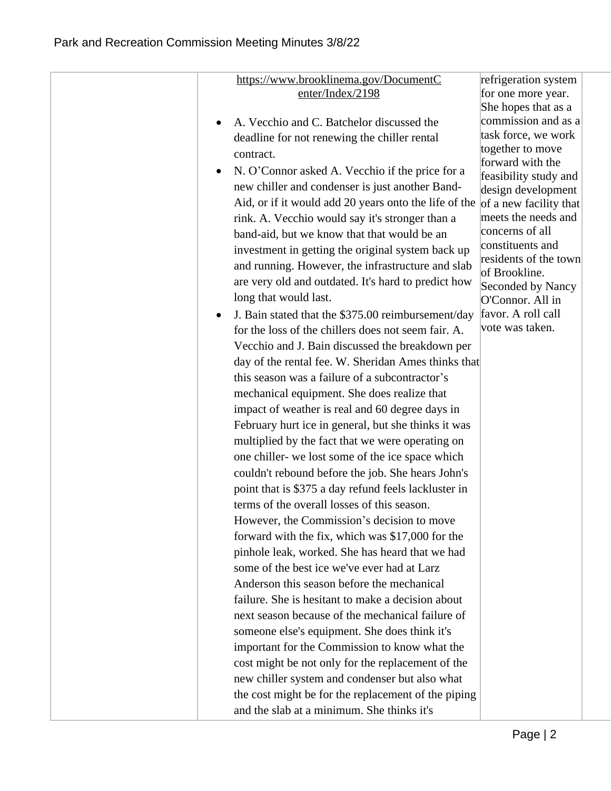| https://www.brooklinema.gov/DocumentC                  | refrigeration system                        |
|--------------------------------------------------------|---------------------------------------------|
| enter/Index/2198                                       | for one more year.                          |
|                                                        | She hopes that as a                         |
| A. Vecchio and C. Batchelor discussed the<br>$\bullet$ | commission and as a                         |
| deadline for not renewing the chiller rental           | task force, we work                         |
| contract.                                              | together to move                            |
| N. O'Connor asked A. Vecchio if the price for a        | forward with the                            |
| new chiller and condenser is just another Band-        | feasibility study and<br>design development |
| Aid, or if it would add 20 years onto the life of the  | of a new facility that                      |
| rink. A. Vecchio would say it's stronger than a        | meets the needs and                         |
| band-aid, but we know that that would be an            | concerns of all                             |
| investment in getting the original system back up      | constituents and                            |
| and running. However, the infrastructure and slab      | residents of the town                       |
| are very old and outdated. It's hard to predict how    | of Brookline.                               |
| long that would last.                                  | Seconded by Nancy                           |
|                                                        | O'Connor. All in                            |
| J. Bain stated that the \$375.00 reimbursement/day     | favor. A roll call<br>vote was taken.       |
| for the loss of the chillers does not seem fair. A.    |                                             |
| Vecchio and J. Bain discussed the breakdown per        |                                             |
| day of the rental fee. W. Sheridan Ames thinks that    |                                             |
| this season was a failure of a subcontractor's         |                                             |
| mechanical equipment. She does realize that            |                                             |
| impact of weather is real and 60 degree days in        |                                             |
| February hurt ice in general, but she thinks it was    |                                             |
| multiplied by the fact that we were operating on       |                                             |
| one chiller- we lost some of the ice space which       |                                             |
| couldn't rebound before the job. She hears John's      |                                             |
| point that is \$375 a day refund feels lackluster in   |                                             |
| terms of the overall losses of this season.            |                                             |
| However, the Commission's decision to move             |                                             |
| forward with the fix, which was \$17,000 for the       |                                             |
| pinhole leak, worked. She has heard that we had        |                                             |
| some of the best ice we've ever had at Larz            |                                             |
| Anderson this season before the mechanical             |                                             |
| failure. She is hesitant to make a decision about      |                                             |
| next season because of the mechanical failure of       |                                             |
| someone else's equipment. She does think it's          |                                             |
| important for the Commission to know what the          |                                             |
| cost might be not only for the replacement of the      |                                             |
| new chiller system and condenser but also what         |                                             |
| the cost might be for the replacement of the piping    |                                             |
|                                                        |                                             |
| and the slab at a minimum. She thinks it's             |                                             |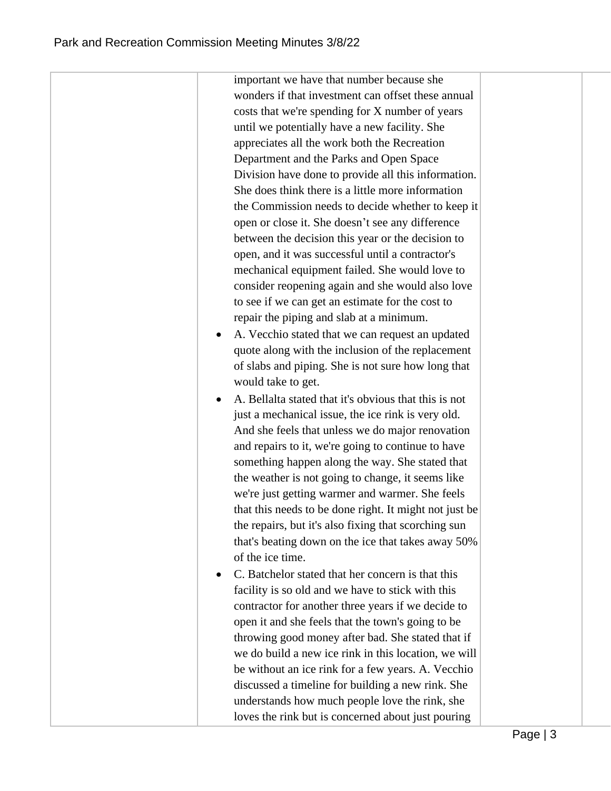important we have that number because she wonders if that investment can offset these annual costs that we're spending for X number of years until we potentially have a new facility. She appreciates all the work both the Recreation Department and the Parks and Open Space Division have done to provide all this information. She does think there is a little more information the Commission needs to decide whether to keep it open or close it. She doesn't see any difference between the decision this year or the decision to open, and it was successful until a contractor's mechanical equipment failed. She would love to consider reopening again and she would also love to see if we can get an estimate for the cost to repair the piping and slab at a minimum. A. Vecchio stated that we can request an updated quote along with the inclusion of the replacement of slabs and piping. She is not sure how long that would take to get. A. Bellalta stated that it's obvious that this is not just a mechanical issue, the ice rink is very old. And she feels that unless we do major renovation and repairs to it, we're going to continue to have something happen along the way. She stated that the weather is not going to change, it seems like we're just getting warmer and warmer. She feels that this needs to be done right. It might not just be the repairs, but it's also fixing that scorching sun that's beating down on the ice that takes away 50% of the ice time. • C. Batchelor stated that her concern is that this facility is so old and we have to stick with this contractor for another three years if we decide to open it and she feels that the town's going to be throwing good money after bad. She stated that if we do build a new ice rink in this location, we will be without an ice rink for a few years. A. Vecchio discussed a timeline for building a new rink. She understands how much people love the rink, she

loves the rink but is concerned about just pouring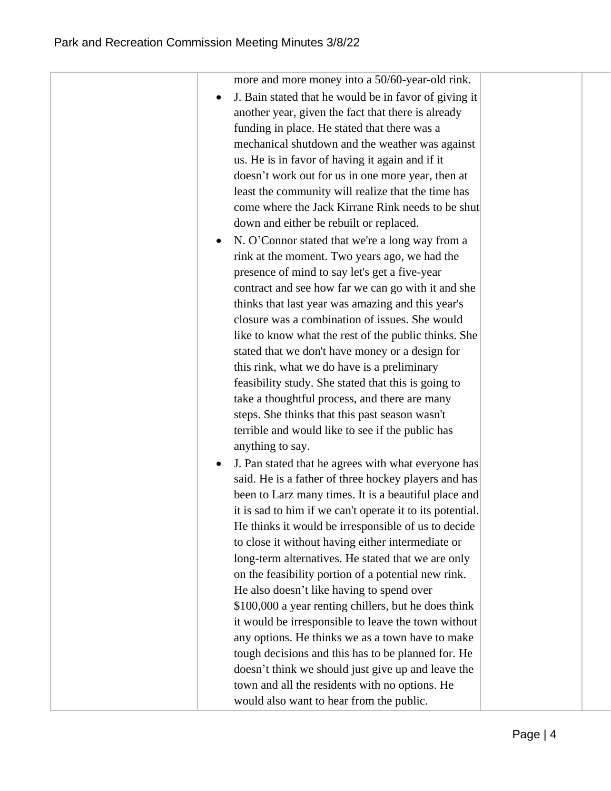| more and more money into a 50/60-year-old rink.<br>J. Bain stated that he would be in favor of giving it<br>another year, given the fact that there is already<br>funding in place. He stated that there was a<br>mechanical shutdown and the weather was against<br>us. He is in favor of having it again and if it<br>doesn't work out for us in one more year, then at<br>least the community will realize that the time has<br>come where the Jack Kirrane Rink needs to be shut<br>down and either be rebuilt or replaced.<br>N. O'Connor stated that we're a long way from a<br>rink at the moment. Two years ago, we had the<br>presence of mind to say let's get a five-year<br>contract and see how far we can go with it and she<br>thinks that last year was amazing and this year's<br>closure was a combination of issues. She would<br>like to know what the rest of the public thinks. She<br>stated that we don't have money or a design for<br>this rink, what we do have is a preliminary<br>feasibility study. She stated that this is going to<br>take a thoughtful process, and there are many<br>steps. She thinks that this past season wasn't<br>terrible and would like to see if the public has<br>anything to say.<br>J. Pan stated that he agrees with what everyone has<br>said. He is a father of three hockey players and has<br>been to Larz many times. It is a beautiful place and<br>it is sad to him if we can't operate it to its potential.<br>He thinks it would be irresponsible of us to decide<br>to close it without having either intermediate or<br>long-term alternatives. He stated that we are only<br>on the feasibility portion of a potential new rink.<br>He also doesn't like having to spend over<br>\$100,000 a year renting chillers, but he does think<br>it would be irresponsible to leave the town without<br>any options. He thinks we as a town have to make<br>tough decisions and this has to be planned for. He<br>doesn't think we should just give up and leave the<br>town and all the residents with no options. He<br>would also want to hear from the public. |  |  |
|--------------------------------------------------------------------------------------------------------------------------------------------------------------------------------------------------------------------------------------------------------------------------------------------------------------------------------------------------------------------------------------------------------------------------------------------------------------------------------------------------------------------------------------------------------------------------------------------------------------------------------------------------------------------------------------------------------------------------------------------------------------------------------------------------------------------------------------------------------------------------------------------------------------------------------------------------------------------------------------------------------------------------------------------------------------------------------------------------------------------------------------------------------------------------------------------------------------------------------------------------------------------------------------------------------------------------------------------------------------------------------------------------------------------------------------------------------------------------------------------------------------------------------------------------------------------------------------------------------------------------------------------------------------------------------------------------------------------------------------------------------------------------------------------------------------------------------------------------------------------------------------------------------------------------------------------------------------------------------------------------------------------------------------------------------------------------------------------------------------------------------------|--|--|
|                                                                                                                                                                                                                                                                                                                                                                                                                                                                                                                                                                                                                                                                                                                                                                                                                                                                                                                                                                                                                                                                                                                                                                                                                                                                                                                                                                                                                                                                                                                                                                                                                                                                                                                                                                                                                                                                                                                                                                                                                                                                                                                                      |  |  |
|                                                                                                                                                                                                                                                                                                                                                                                                                                                                                                                                                                                                                                                                                                                                                                                                                                                                                                                                                                                                                                                                                                                                                                                                                                                                                                                                                                                                                                                                                                                                                                                                                                                                                                                                                                                                                                                                                                                                                                                                                                                                                                                                      |  |  |
|                                                                                                                                                                                                                                                                                                                                                                                                                                                                                                                                                                                                                                                                                                                                                                                                                                                                                                                                                                                                                                                                                                                                                                                                                                                                                                                                                                                                                                                                                                                                                                                                                                                                                                                                                                                                                                                                                                                                                                                                                                                                                                                                      |  |  |
|                                                                                                                                                                                                                                                                                                                                                                                                                                                                                                                                                                                                                                                                                                                                                                                                                                                                                                                                                                                                                                                                                                                                                                                                                                                                                                                                                                                                                                                                                                                                                                                                                                                                                                                                                                                                                                                                                                                                                                                                                                                                                                                                      |  |  |
|                                                                                                                                                                                                                                                                                                                                                                                                                                                                                                                                                                                                                                                                                                                                                                                                                                                                                                                                                                                                                                                                                                                                                                                                                                                                                                                                                                                                                                                                                                                                                                                                                                                                                                                                                                                                                                                                                                                                                                                                                                                                                                                                      |  |  |
|                                                                                                                                                                                                                                                                                                                                                                                                                                                                                                                                                                                                                                                                                                                                                                                                                                                                                                                                                                                                                                                                                                                                                                                                                                                                                                                                                                                                                                                                                                                                                                                                                                                                                                                                                                                                                                                                                                                                                                                                                                                                                                                                      |  |  |
|                                                                                                                                                                                                                                                                                                                                                                                                                                                                                                                                                                                                                                                                                                                                                                                                                                                                                                                                                                                                                                                                                                                                                                                                                                                                                                                                                                                                                                                                                                                                                                                                                                                                                                                                                                                                                                                                                                                                                                                                                                                                                                                                      |  |  |
|                                                                                                                                                                                                                                                                                                                                                                                                                                                                                                                                                                                                                                                                                                                                                                                                                                                                                                                                                                                                                                                                                                                                                                                                                                                                                                                                                                                                                                                                                                                                                                                                                                                                                                                                                                                                                                                                                                                                                                                                                                                                                                                                      |  |  |
|                                                                                                                                                                                                                                                                                                                                                                                                                                                                                                                                                                                                                                                                                                                                                                                                                                                                                                                                                                                                                                                                                                                                                                                                                                                                                                                                                                                                                                                                                                                                                                                                                                                                                                                                                                                                                                                                                                                                                                                                                                                                                                                                      |  |  |
|                                                                                                                                                                                                                                                                                                                                                                                                                                                                                                                                                                                                                                                                                                                                                                                                                                                                                                                                                                                                                                                                                                                                                                                                                                                                                                                                                                                                                                                                                                                                                                                                                                                                                                                                                                                                                                                                                                                                                                                                                                                                                                                                      |  |  |
|                                                                                                                                                                                                                                                                                                                                                                                                                                                                                                                                                                                                                                                                                                                                                                                                                                                                                                                                                                                                                                                                                                                                                                                                                                                                                                                                                                                                                                                                                                                                                                                                                                                                                                                                                                                                                                                                                                                                                                                                                                                                                                                                      |  |  |
|                                                                                                                                                                                                                                                                                                                                                                                                                                                                                                                                                                                                                                                                                                                                                                                                                                                                                                                                                                                                                                                                                                                                                                                                                                                                                                                                                                                                                                                                                                                                                                                                                                                                                                                                                                                                                                                                                                                                                                                                                                                                                                                                      |  |  |
|                                                                                                                                                                                                                                                                                                                                                                                                                                                                                                                                                                                                                                                                                                                                                                                                                                                                                                                                                                                                                                                                                                                                                                                                                                                                                                                                                                                                                                                                                                                                                                                                                                                                                                                                                                                                                                                                                                                                                                                                                                                                                                                                      |  |  |
|                                                                                                                                                                                                                                                                                                                                                                                                                                                                                                                                                                                                                                                                                                                                                                                                                                                                                                                                                                                                                                                                                                                                                                                                                                                                                                                                                                                                                                                                                                                                                                                                                                                                                                                                                                                                                                                                                                                                                                                                                                                                                                                                      |  |  |
|                                                                                                                                                                                                                                                                                                                                                                                                                                                                                                                                                                                                                                                                                                                                                                                                                                                                                                                                                                                                                                                                                                                                                                                                                                                                                                                                                                                                                                                                                                                                                                                                                                                                                                                                                                                                                                                                                                                                                                                                                                                                                                                                      |  |  |
|                                                                                                                                                                                                                                                                                                                                                                                                                                                                                                                                                                                                                                                                                                                                                                                                                                                                                                                                                                                                                                                                                                                                                                                                                                                                                                                                                                                                                                                                                                                                                                                                                                                                                                                                                                                                                                                                                                                                                                                                                                                                                                                                      |  |  |
|                                                                                                                                                                                                                                                                                                                                                                                                                                                                                                                                                                                                                                                                                                                                                                                                                                                                                                                                                                                                                                                                                                                                                                                                                                                                                                                                                                                                                                                                                                                                                                                                                                                                                                                                                                                                                                                                                                                                                                                                                                                                                                                                      |  |  |
|                                                                                                                                                                                                                                                                                                                                                                                                                                                                                                                                                                                                                                                                                                                                                                                                                                                                                                                                                                                                                                                                                                                                                                                                                                                                                                                                                                                                                                                                                                                                                                                                                                                                                                                                                                                                                                                                                                                                                                                                                                                                                                                                      |  |  |
|                                                                                                                                                                                                                                                                                                                                                                                                                                                                                                                                                                                                                                                                                                                                                                                                                                                                                                                                                                                                                                                                                                                                                                                                                                                                                                                                                                                                                                                                                                                                                                                                                                                                                                                                                                                                                                                                                                                                                                                                                                                                                                                                      |  |  |
|                                                                                                                                                                                                                                                                                                                                                                                                                                                                                                                                                                                                                                                                                                                                                                                                                                                                                                                                                                                                                                                                                                                                                                                                                                                                                                                                                                                                                                                                                                                                                                                                                                                                                                                                                                                                                                                                                                                                                                                                                                                                                                                                      |  |  |
|                                                                                                                                                                                                                                                                                                                                                                                                                                                                                                                                                                                                                                                                                                                                                                                                                                                                                                                                                                                                                                                                                                                                                                                                                                                                                                                                                                                                                                                                                                                                                                                                                                                                                                                                                                                                                                                                                                                                                                                                                                                                                                                                      |  |  |
|                                                                                                                                                                                                                                                                                                                                                                                                                                                                                                                                                                                                                                                                                                                                                                                                                                                                                                                                                                                                                                                                                                                                                                                                                                                                                                                                                                                                                                                                                                                                                                                                                                                                                                                                                                                                                                                                                                                                                                                                                                                                                                                                      |  |  |
|                                                                                                                                                                                                                                                                                                                                                                                                                                                                                                                                                                                                                                                                                                                                                                                                                                                                                                                                                                                                                                                                                                                                                                                                                                                                                                                                                                                                                                                                                                                                                                                                                                                                                                                                                                                                                                                                                                                                                                                                                                                                                                                                      |  |  |
|                                                                                                                                                                                                                                                                                                                                                                                                                                                                                                                                                                                                                                                                                                                                                                                                                                                                                                                                                                                                                                                                                                                                                                                                                                                                                                                                                                                                                                                                                                                                                                                                                                                                                                                                                                                                                                                                                                                                                                                                                                                                                                                                      |  |  |
|                                                                                                                                                                                                                                                                                                                                                                                                                                                                                                                                                                                                                                                                                                                                                                                                                                                                                                                                                                                                                                                                                                                                                                                                                                                                                                                                                                                                                                                                                                                                                                                                                                                                                                                                                                                                                                                                                                                                                                                                                                                                                                                                      |  |  |
|                                                                                                                                                                                                                                                                                                                                                                                                                                                                                                                                                                                                                                                                                                                                                                                                                                                                                                                                                                                                                                                                                                                                                                                                                                                                                                                                                                                                                                                                                                                                                                                                                                                                                                                                                                                                                                                                                                                                                                                                                                                                                                                                      |  |  |
|                                                                                                                                                                                                                                                                                                                                                                                                                                                                                                                                                                                                                                                                                                                                                                                                                                                                                                                                                                                                                                                                                                                                                                                                                                                                                                                                                                                                                                                                                                                                                                                                                                                                                                                                                                                                                                                                                                                                                                                                                                                                                                                                      |  |  |
|                                                                                                                                                                                                                                                                                                                                                                                                                                                                                                                                                                                                                                                                                                                                                                                                                                                                                                                                                                                                                                                                                                                                                                                                                                                                                                                                                                                                                                                                                                                                                                                                                                                                                                                                                                                                                                                                                                                                                                                                                                                                                                                                      |  |  |
|                                                                                                                                                                                                                                                                                                                                                                                                                                                                                                                                                                                                                                                                                                                                                                                                                                                                                                                                                                                                                                                                                                                                                                                                                                                                                                                                                                                                                                                                                                                                                                                                                                                                                                                                                                                                                                                                                                                                                                                                                                                                                                                                      |  |  |
|                                                                                                                                                                                                                                                                                                                                                                                                                                                                                                                                                                                                                                                                                                                                                                                                                                                                                                                                                                                                                                                                                                                                                                                                                                                                                                                                                                                                                                                                                                                                                                                                                                                                                                                                                                                                                                                                                                                                                                                                                                                                                                                                      |  |  |
|                                                                                                                                                                                                                                                                                                                                                                                                                                                                                                                                                                                                                                                                                                                                                                                                                                                                                                                                                                                                                                                                                                                                                                                                                                                                                                                                                                                                                                                                                                                                                                                                                                                                                                                                                                                                                                                                                                                                                                                                                                                                                                                                      |  |  |
|                                                                                                                                                                                                                                                                                                                                                                                                                                                                                                                                                                                                                                                                                                                                                                                                                                                                                                                                                                                                                                                                                                                                                                                                                                                                                                                                                                                                                                                                                                                                                                                                                                                                                                                                                                                                                                                                                                                                                                                                                                                                                                                                      |  |  |
|                                                                                                                                                                                                                                                                                                                                                                                                                                                                                                                                                                                                                                                                                                                                                                                                                                                                                                                                                                                                                                                                                                                                                                                                                                                                                                                                                                                                                                                                                                                                                                                                                                                                                                                                                                                                                                                                                                                                                                                                                                                                                                                                      |  |  |
|                                                                                                                                                                                                                                                                                                                                                                                                                                                                                                                                                                                                                                                                                                                                                                                                                                                                                                                                                                                                                                                                                                                                                                                                                                                                                                                                                                                                                                                                                                                                                                                                                                                                                                                                                                                                                                                                                                                                                                                                                                                                                                                                      |  |  |
|                                                                                                                                                                                                                                                                                                                                                                                                                                                                                                                                                                                                                                                                                                                                                                                                                                                                                                                                                                                                                                                                                                                                                                                                                                                                                                                                                                                                                                                                                                                                                                                                                                                                                                                                                                                                                                                                                                                                                                                                                                                                                                                                      |  |  |
|                                                                                                                                                                                                                                                                                                                                                                                                                                                                                                                                                                                                                                                                                                                                                                                                                                                                                                                                                                                                                                                                                                                                                                                                                                                                                                                                                                                                                                                                                                                                                                                                                                                                                                                                                                                                                                                                                                                                                                                                                                                                                                                                      |  |  |
|                                                                                                                                                                                                                                                                                                                                                                                                                                                                                                                                                                                                                                                                                                                                                                                                                                                                                                                                                                                                                                                                                                                                                                                                                                                                                                                                                                                                                                                                                                                                                                                                                                                                                                                                                                                                                                                                                                                                                                                                                                                                                                                                      |  |  |
|                                                                                                                                                                                                                                                                                                                                                                                                                                                                                                                                                                                                                                                                                                                                                                                                                                                                                                                                                                                                                                                                                                                                                                                                                                                                                                                                                                                                                                                                                                                                                                                                                                                                                                                                                                                                                                                                                                                                                                                                                                                                                                                                      |  |  |
|                                                                                                                                                                                                                                                                                                                                                                                                                                                                                                                                                                                                                                                                                                                                                                                                                                                                                                                                                                                                                                                                                                                                                                                                                                                                                                                                                                                                                                                                                                                                                                                                                                                                                                                                                                                                                                                                                                                                                                                                                                                                                                                                      |  |  |
|                                                                                                                                                                                                                                                                                                                                                                                                                                                                                                                                                                                                                                                                                                                                                                                                                                                                                                                                                                                                                                                                                                                                                                                                                                                                                                                                                                                                                                                                                                                                                                                                                                                                                                                                                                                                                                                                                                                                                                                                                                                                                                                                      |  |  |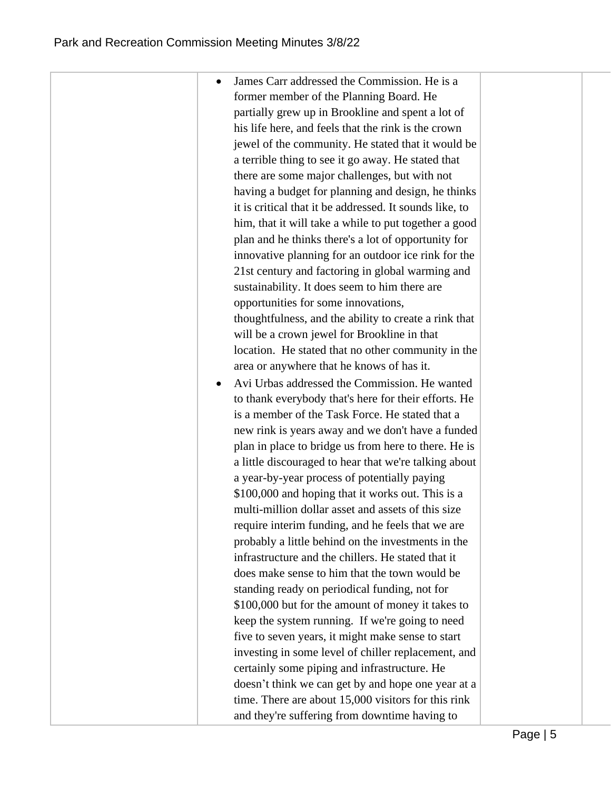| James Carr addressed the Commission. He is a            |  |
|---------------------------------------------------------|--|
| former member of the Planning Board. He                 |  |
| partially grew up in Brookline and spent a lot of       |  |
| his life here, and feels that the rink is the crown     |  |
| jewel of the community. He stated that it would be      |  |
| a terrible thing to see it go away. He stated that      |  |
| there are some major challenges, but with not           |  |
| having a budget for planning and design, he thinks      |  |
| it is critical that it be addressed. It sounds like, to |  |
| him, that it will take a while to put together a good   |  |
| plan and he thinks there's a lot of opportunity for     |  |
| innovative planning for an outdoor ice rink for the     |  |
| 21st century and factoring in global warming and        |  |
| sustainability. It does seem to him there are           |  |
| opportunities for some innovations,                     |  |
| thoughtfulness, and the ability to create a rink that   |  |
| will be a crown jewel for Brookline in that             |  |
| location. He stated that no other community in the      |  |
| area or anywhere that he knows of has it.               |  |
| Avi Urbas addressed the Commission. He wanted           |  |
| to thank everybody that's here for their efforts. He    |  |
| is a member of the Task Force. He stated that a         |  |
| new rink is years away and we don't have a funded       |  |
| plan in place to bridge us from here to there. He is    |  |
| a little discouraged to hear that we're talking about   |  |
| a year-by-year process of potentially paying            |  |
| \$100,000 and hoping that it works out. This is a       |  |
| multi-million dollar asset and assets of this size      |  |
| require interim funding, and he feels that we are       |  |
| probably a little behind on the investments in the      |  |
| infrastructure and the chillers. He stated that it      |  |
| does make sense to him that the town would be           |  |
| standing ready on periodical funding, not for           |  |
| \$100,000 but for the amount of money it takes to       |  |
| keep the system running. If we're going to need         |  |
| five to seven years, it might make sense to start       |  |
| investing in some level of chiller replacement, and     |  |
| certainly some piping and infrastructure. He            |  |
| doesn't think we can get by and hope one year at a      |  |
| time. There are about 15,000 visitors for this rink     |  |
| and they're suffering from downtime having to           |  |
|                                                         |  |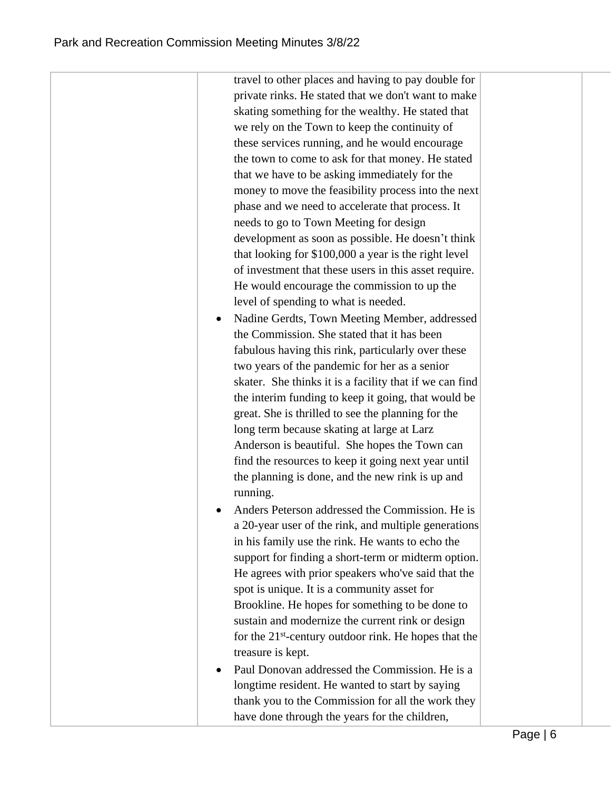| travel to other places and having to pay double for        |
|------------------------------------------------------------|
| private rinks. He stated that we don't want to make        |
| skating something for the wealthy. He stated that          |
| we rely on the Town to keep the continuity of              |
| these services running, and he would encourage             |
| the town to come to ask for that money. He stated          |
| that we have to be asking immediately for the              |
| money to move the feasibility process into the next        |
| phase and we need to accelerate that process. It           |
| needs to go to Town Meeting for design                     |
| development as soon as possible. He doesn't think          |
| that looking for \$100,000 a year is the right level       |
| of investment that these users in this asset require.      |
| He would encourage the commission to up the                |
| level of spending to what is needed.                       |
| Nadine Gerdts, Town Meeting Member, addressed              |
| the Commission. She stated that it has been                |
| fabulous having this rink, particularly over these         |
| two years of the pandemic for her as a senior              |
| skater. She thinks it is a facility that if we can find    |
| the interim funding to keep it going, that would be        |
| great. She is thrilled to see the planning for the         |
| long term because skating at large at Larz                 |
| Anderson is beautiful. She hopes the Town can              |
| find the resources to keep it going next year until        |
| the planning is done, and the new rink is up and           |
| running.                                                   |
| Anders Peterson addressed the Commission. He is            |
| a 20-year user of the rink, and multiple generations       |
| in his family use the rink. He wants to echo the           |
| support for finding a short-term or midterm option.        |
| He agrees with prior speakers who've said that the         |
| spot is unique. It is a community asset for                |
| Brookline. He hopes for something to be done to            |
| sustain and modernize the current rink or design           |
| for the $21^{st}$ -century outdoor rink. He hopes that the |
| treasure is kept.                                          |
| Paul Donovan addressed the Commission. He is a             |
| longtime resident. He wanted to start by saying            |
| thank you to the Commission for all the work they          |
| have done through the years for the children,              |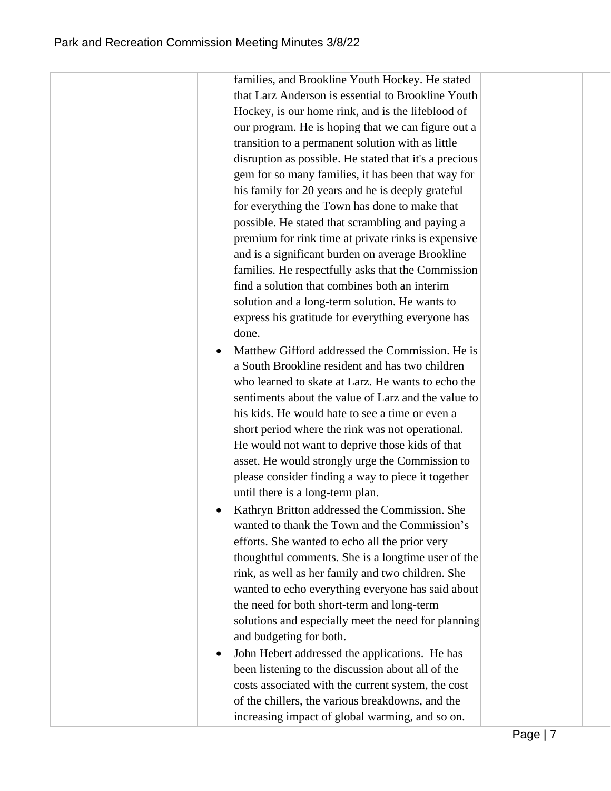families, and Brookline Youth Hockey. He stated that Larz Anderson is essential to Brookline Youth Hockey, is our home rink, and is the lifeblood of our program. He is hoping that we can figure out a transition to a permanent solution with as little disruption as possible. He stated that it's a precious gem for so many families, it has been that way for his family for 20 years and he is deeply grateful for everything the Town has done to make that possible. He stated that scrambling and paying a premium for rink time at private rinks is expensive and is a significant burden on average Brookline families. He respectfully asks that the Commission find a solution that combines both an interim solution and a long-term solution. He wants to express his gratitude for everything everyone has done. Matthew Gifford addressed the Commission. He is a South Brookline resident and has two children who learned to skate at Larz. He wants to echo the sentiments about the value of Larz and the value to his kids. He would hate to see a time or even a short period where the rink was not operational. He would not want to deprive those kids of that asset. He would strongly urge the Commission to

- please consider finding a way to piece it together until there is a long-term plan. • Kathryn Britton addressed the Commission. She wanted to thank the Town and the Commission's efforts. She wanted to echo all the prior very thoughtful comments. She is a longtime user of the rink, as well as her family and two children. She wanted to echo everything everyone has said about the need for both short-term and long-term
- solutions and especially meet the need for planning and budgeting for both. John Hebert addressed the applications. He has been listening to the discussion about all of the costs associated with the current system, the cost of the chillers, the various breakdowns, and the increasing impact of global warming, and so on.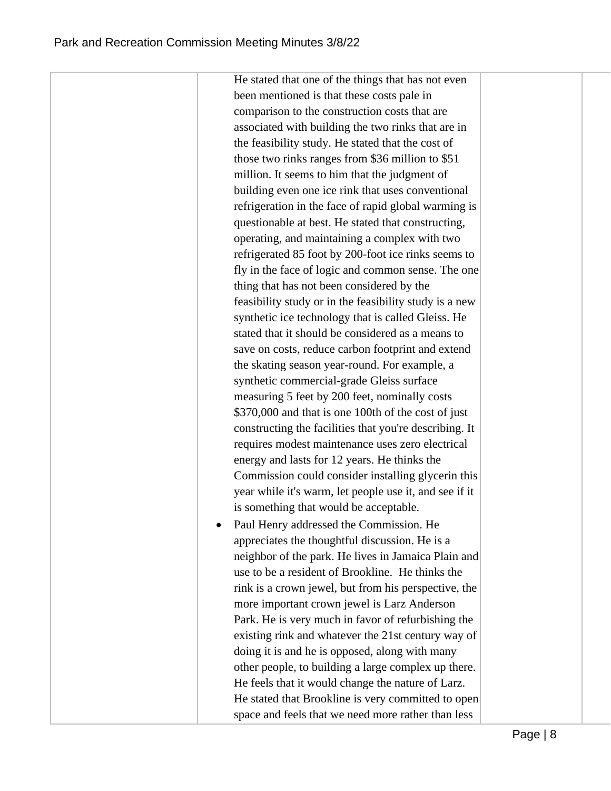He stated that one of the things that has not even been mentioned is that these costs pale in comparison to the construction costs that are associated with building the two rinks that are in the feasibility study. He stated that the cost of those two rinks ranges from \$36 million to \$51 million. It seems to him that the judgment of building even one ice rink that uses conventional refrigeration in the face of rapid global warming is questionable at best. He stated that constructing, operating, and maintaining a complex with two refrigerated 85 foot by 200-foot ice rinks seems to fly in the face of logic and common sense. The one thing that has not been considered by the feasibility study or in the feasibility study is a new synthetic ice technology that is called Gleiss. He stated that it should be considered as a means to save on costs, reduce carbon footprint and extend the skating season year-round. For example, a synthetic commercial-grade Gleiss surface measuring 5 feet by 200 feet, nominally costs \$370,000 and that is one 100th of the cost of just constructing the facilities that you're describing. It requires modest maintenance uses zero electrical energy and lasts for 12 years. He thinks the Commission could consider installing glycerin this year while it's warm, let people use it, and see if it is something that would be acceptable. • Paul Henry addressed the Commission. He appreciates the thoughtful discussion. He is a neighbor of the park. He lives in Jamaica Plain and use to be a resident of Brookline. He thinks the rink is a crown jewel, but from his perspective, the more important crown jewel is Larz Anderson

Park. He is very much in favor of refurbishing the existing rink and whatever the 21st century way of doing it is and he is opposed, along with many other people, to building a large complex up there. He feels that it would change the nature of Larz. He stated that Brookline is very committed to open space and feels that we need more rather than less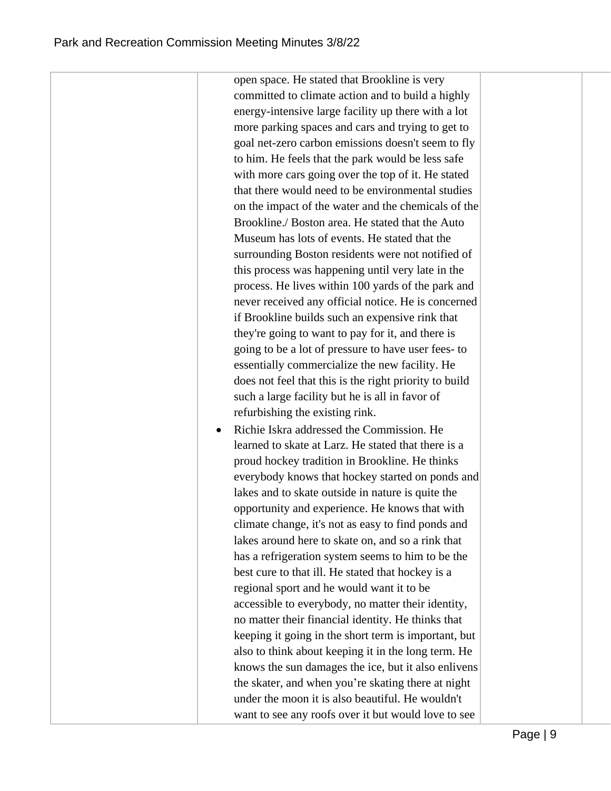open space. He stated that Brookline is very committed to climate action and to build a highly energy-intensive large facility up there with a lot more parking spaces and cars and trying to get to goal net-zero carbon emissions doesn't seem to fly to him. He feels that the park would be less safe with more cars going over the top of it. He stated that there would need to be environmental studies on the impact of the water and the chemicals of the Brookline./ Boston area. He stated that the Auto Museum has lots of events. He stated that the surrounding Boston residents were not notified of this process was happening until very late in the process. He lives within 100 yards of the park and never received any official notice. He is concerned if Brookline builds such an expensive rink that they're going to want to pay for it, and there is going to be a lot of pressure to have user fees- to essentially commercialize the new facility. He does not feel that this is the right priority to build such a large facility but he is all in favor of refurbishing the existing rink.

• Richie Iskra addressed the Commission. He learned to skate at Larz. He stated that there is a proud hockey tradition in Brookline. He thinks everybody knows that hockey started on ponds and lakes and to skate outside in nature is quite the opportunity and experience. He knows that with climate change, it's not as easy to find ponds and lakes around here to skate on, and so a rink that has a refrigeration system seems to him to be the best cure to that ill. He stated that hockey is a regional sport and he would want it to be accessible to everybody, no matter their identity, no matter their financial identity. He thinks that keeping it going in the short term is important, but also to think about keeping it in the long term. He knows the sun damages the ice, but it also enlivens the skater, and when you're skating there at night under the moon it is also beautiful. He wouldn't want to see any roofs over it but would love to see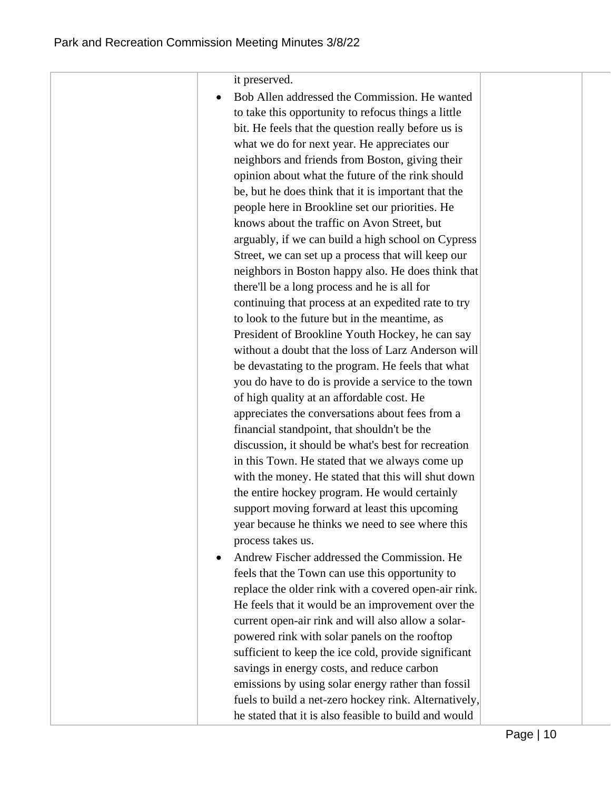| it preserved.                                         |
|-------------------------------------------------------|
| Bob Allen addressed the Commission. He wanted         |
| to take this opportunity to refocus things a little   |
| bit. He feels that the question really before us is   |
| what we do for next year. He appreciates our          |
| neighbors and friends from Boston, giving their       |
| opinion about what the future of the rink should      |
| be, but he does think that it is important that the   |
| people here in Brookline set our priorities. He       |
| knows about the traffic on Avon Street, but           |
| arguably, if we can build a high school on Cypress    |
| Street, we can set up a process that will keep our    |
| neighbors in Boston happy also. He does think that    |
| there'll be a long process and he is all for          |
| continuing that process at an expedited rate to try   |
| to look to the future but in the meantime, as         |
| President of Brookline Youth Hockey, he can say       |
| without a doubt that the loss of Larz Anderson will   |
|                                                       |
| be devastating to the program. He feels that what     |
| you do have to do is provide a service to the town    |
| of high quality at an affordable cost. He             |
| appreciates the conversations about fees from a       |
| financial standpoint, that shouldn't be the           |
| discussion, it should be what's best for recreation   |
| in this Town. He stated that we always come up        |
| with the money. He stated that this will shut down    |
| the entire hockey program. He would certainly         |
| support moving forward at least this upcoming         |
| year because he thinks we need to see where this      |
| process takes us.                                     |
| Andrew Fischer addressed the Commission. He           |
| feels that the Town can use this opportunity to       |
| replace the older rink with a covered open-air rink.  |
| He feels that it would be an improvement over the     |
| current open-air rink and will also allow a solar-    |
| powered rink with solar panels on the rooftop         |
| sufficient to keep the ice cold, provide significant  |
| savings in energy costs, and reduce carbon            |
| emissions by using solar energy rather than fossil    |
| fuels to build a net-zero hockey rink. Alternatively, |
| he stated that it is also feasible to build and would |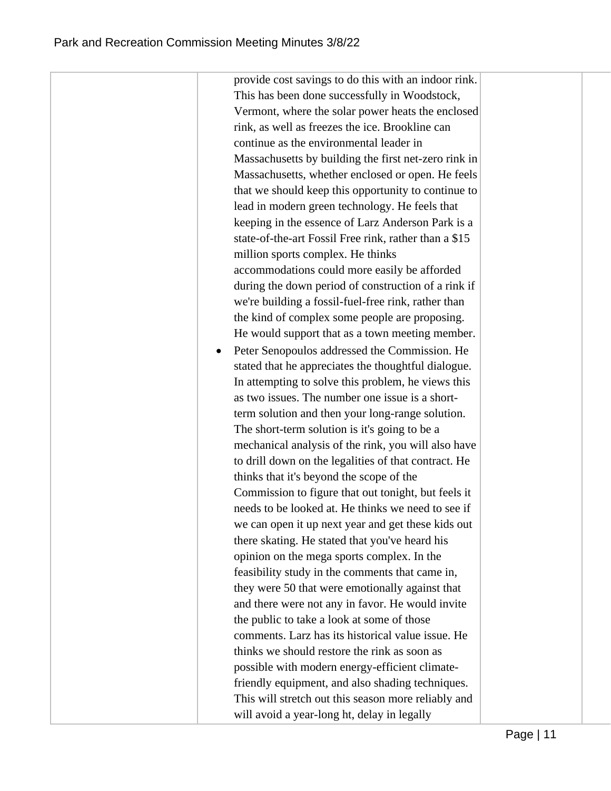provide cost savings to do this with an indoor rink. This has been done successfully in Woodstock, Vermont, where the solar power heats the enclosed rink, as well as freezes the ice. Brookline can continue as the environmental leader in Massachusetts by building the first net-zero rink in Massachusetts, whether enclosed or open. He feels that we should keep this opportunity to continue to lead in modern green technology. He feels that keeping in the essence of Larz Anderson Park is a state-of-the-art Fossil Free rink, rather than a \$15 million sports complex. He thinks accommodations could more easily be afforded during the down period of construction of a rink if we're building a fossil-fuel-free rink, rather than the kind of complex some people are proposing. He would support that as a town meeting member. Peter Senopoulos addressed the Commission. He stated that he appreciates the thoughtful dialogue. In attempting to solve this problem, he views this as two issues. The number one issue is a shortterm solution and then your long-range solution. The short-term solution is it's going to be a mechanical analysis of the rink, you will also have to drill down on the legalities of that contract. He thinks that it's beyond the scope of the Commission to figure that out tonight, but feels it needs to be looked at. He thinks we need to see if we can open it up next year and get these kids out there skating. He stated that you've heard his opinion on the mega sports complex. In the feasibility study in the comments that came in, they were 50 that were emotionally against that and there were not any in favor. He would invite the public to take a look at some of those comments. Larz has its historical value issue. He thinks we should restore the rink as soon as possible with modern energy-efficient climatefriendly equipment, and also shading techniques. This will stretch out this season more reliably and will avoid a year-long ht, delay in legally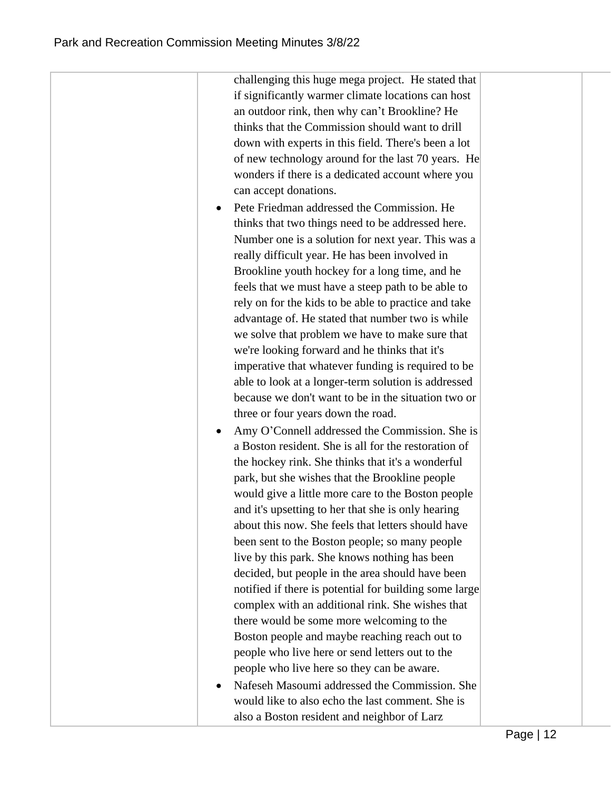challenging this huge mega project. He stated that if significantly warmer climate locations can host an outdoor rink, then why can't Brookline? He thinks that the Commission should want to drill down with experts in this field. There's been a lot of new technology around for the last 70 years. He wonders if there is a dedicated account where you can accept donations.

- Pete Friedman addressed the Commission. He thinks that two things need to be addressed here. Number one is a solution for next year. This was a really difficult year. He has been involved in Brookline youth hockey for a long time, and he feels that we must have a steep path to be able to rely on for the kids to be able to practice and take advantage of. He stated that number two is while we solve that problem we have to make sure that we're looking forward and he thinks that it's imperative that whatever funding is required to be able to look at a longer-term solution is addressed because we don't want to be in the situation two or three or four years down the road.
- Amy O'Connell addressed the Commission. She is a Boston resident. She is all for the restoration of the hockey rink. She thinks that it's a wonderful park, but she wishes that the Brookline people would give a little more care to the Boston people and it's upsetting to her that she is only hearing about this now. She feels that letters should have been sent to the Boston people; so many people live by this park. She knows nothing has been decided, but people in the area should have been notified if there is potential for building some large complex with an additional rink. She wishes that there would be some more welcoming to the Boston people and maybe reaching reach out to people who live here or send letters out to the people who live here so they can be aware.
- Nafeseh Masoumi addressed the Commission. She would like to also echo the last comment. She is also a Boston resident and neighbor of Larz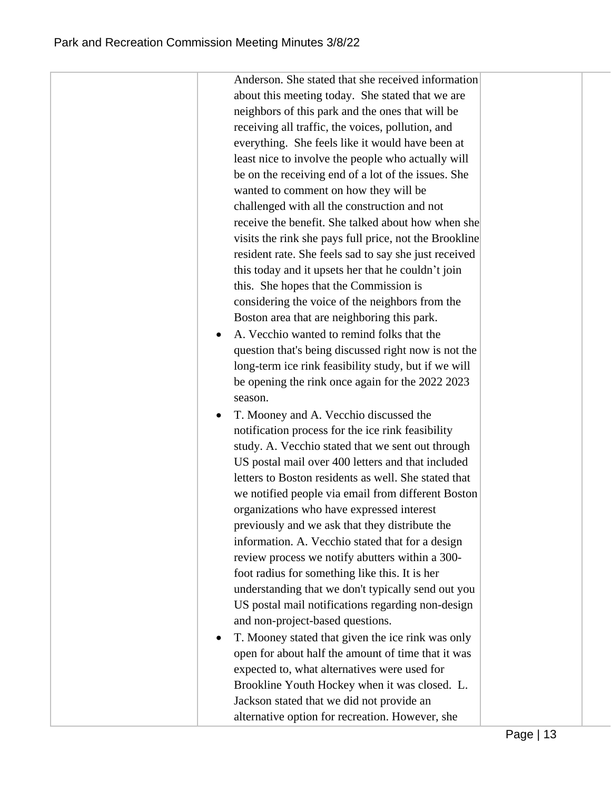|         | Anderson. She stated that she received information     |
|---------|--------------------------------------------------------|
|         | about this meeting today. She stated that we are       |
|         | neighbors of this park and the ones that will be       |
|         | receiving all traffic, the voices, pollution, and      |
|         | everything. She feels like it would have been at       |
|         | least nice to involve the people who actually will     |
|         | be on the receiving end of a lot of the issues. She    |
|         | wanted to comment on how they will be                  |
|         | challenged with all the construction and not           |
|         | receive the benefit. She talked about how when she     |
|         | visits the rink she pays full price, not the Brookline |
|         | resident rate. She feels sad to say she just received  |
|         | this today and it upsets her that he couldn't join     |
|         | this. She hopes that the Commission is                 |
|         | considering the voice of the neighbors from the        |
|         | Boston area that are neighboring this park.            |
|         | A. Vecchio wanted to remind folks that the             |
|         | question that's being discussed right now is not the   |
|         | long-term ice rink feasibility study, but if we will   |
|         | be opening the rink once again for the 2022 2023       |
| season. |                                                        |
|         | T. Mooney and A. Vecchio discussed the                 |
|         | notification process for the ice rink feasibility      |
|         | study. A. Vecchio stated that we sent out through      |
|         | US postal mail over 400 letters and that included      |
|         | letters to Boston residents as well. She stated that   |
|         | we notified people via email from different Boston     |
|         | organizations who have expressed interest              |
|         | previously and we ask that they distribute the         |
|         | information. A. Vecchio stated that for a design       |
|         | review process we notify abutters within a 300-        |
|         | foot radius for something like this. It is her         |
|         | understanding that we don't typically send out you     |
|         | US postal mail notifications regarding non-design      |
|         | and non-project-based questions.                       |
|         | T. Mooney stated that given the ice rink was only      |
|         | open for about half the amount of time that it was     |
|         | expected to, what alternatives were used for           |
|         | Brookline Youth Hockey when it was closed. L.          |
|         | Jackson stated that we did not provide an              |
|         | alternative option for recreation. However, she        |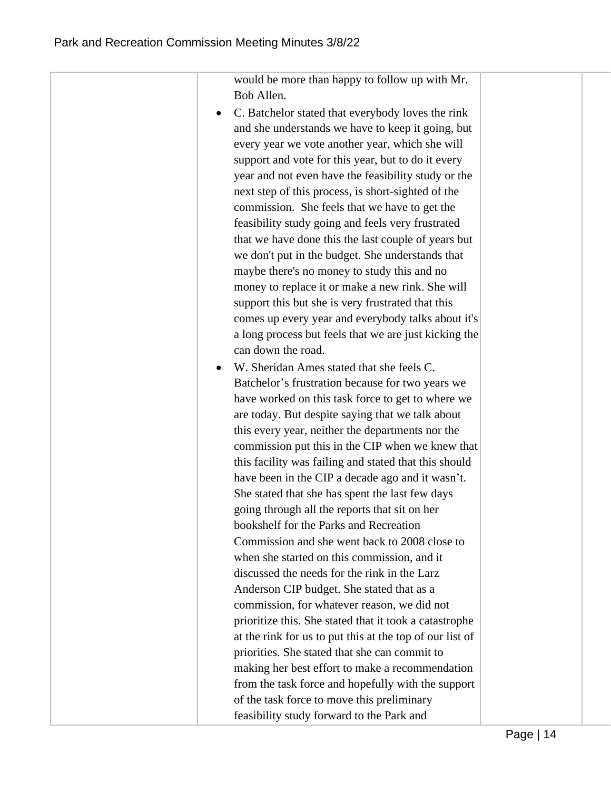| would be more than happy to follow up with Mr.           |
|----------------------------------------------------------|
| Bob Allen.                                               |
| C. Batchelor stated that everybody loves the rink        |
| and she understands we have to keep it going, but        |
| every year we vote another year, which she will          |
| support and vote for this year, but to do it every       |
| year and not even have the feasibility study or the      |
| next step of this process, is short-sighted of the       |
| commission. She feels that we have to get the            |
| feasibility study going and feels very frustrated        |
| that we have done this the last couple of years but      |
| we don't put in the budget. She understands that         |
| maybe there's no money to study this and no              |
| money to replace it or make a new rink. She will         |
| support this but she is very frustrated that this        |
| comes up every year and everybody talks about it's       |
| a long process but feels that we are just kicking the    |
| can down the road.                                       |
| W. Sheridan Ames stated that she feels C.                |
| Batchelor's frustration because for two years we         |
| have worked on this task force to get to where we        |
| are today. But despite saying that we talk about         |
| this every year, neither the departments nor the         |
| commission put this in the CIP when we knew that         |
| this facility was failing and stated that this should    |
| have been in the CIP a decade ago and it wasn't.         |
| She stated that she has spent the last few days          |
| going through all the reports that sit on her            |
| bookshelf for the Parks and Recreation                   |
| Commission and she went back to 2008 close to            |
| when she started on this commission, and it              |
| discussed the needs for the rink in the Larz             |
| Anderson CIP budget. She stated that as a                |
| commission, for whatever reason, we did not              |
| prioritize this. She stated that it took a catastrophe   |
| at the rink for us to put this at the top of our list of |
| priorities. She stated that she can commit to            |
| making her best effort to make a recommendation          |
| from the task force and hopefully with the support       |
| of the task force to move this preliminary               |
| feasibility study forward to the Park and                |
|                                                          |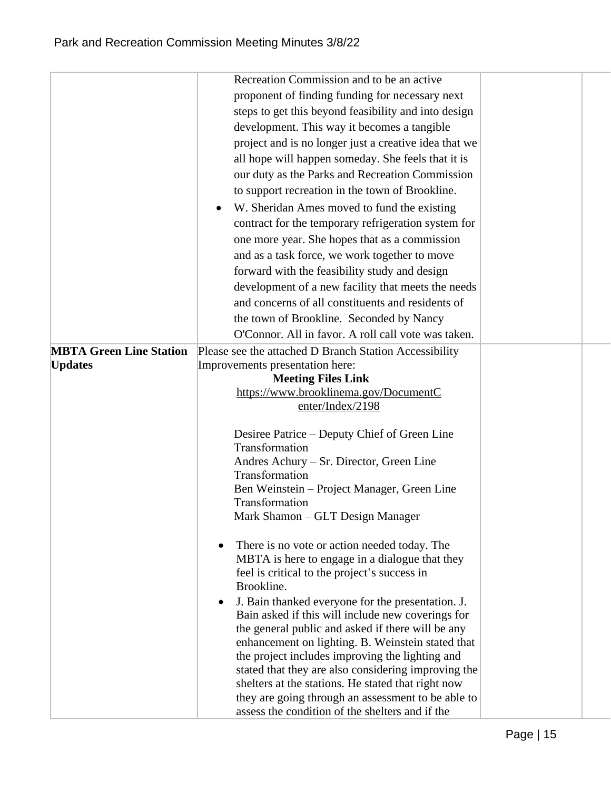|                                | Recreation Commission and to be an active                                                              |  |
|--------------------------------|--------------------------------------------------------------------------------------------------------|--|
|                                | proponent of finding funding for necessary next                                                        |  |
|                                | steps to get this beyond feasibility and into design                                                   |  |
|                                | development. This way it becomes a tangible                                                            |  |
|                                | project and is no longer just a creative idea that we                                                  |  |
|                                | all hope will happen someday. She feels that it is                                                     |  |
|                                | our duty as the Parks and Recreation Commission                                                        |  |
|                                | to support recreation in the town of Brookline.                                                        |  |
|                                | • W. Sheridan Ames moved to fund the existing                                                          |  |
|                                | contract for the temporary refrigeration system for                                                    |  |
|                                | one more year. She hopes that as a commission                                                          |  |
|                                | and as a task force, we work together to move                                                          |  |
|                                | forward with the feasibility study and design                                                          |  |
|                                | development of a new facility that meets the needs                                                     |  |
|                                | and concerns of all constituents and residents of                                                      |  |
|                                | the town of Brookline. Seconded by Nancy                                                               |  |
|                                | O'Connor. All in favor. A roll call vote was taken.                                                    |  |
| <b>MBTA Green Line Station</b> | Please see the attached D Branch Station Accessibility                                                 |  |
| <b>Updates</b>                 | Improvements presentation here:                                                                        |  |
|                                | <b>Meeting Files Link</b>                                                                              |  |
|                                | https://www.brooklinema.gov/DocumentC                                                                  |  |
|                                | enter/Index/2198                                                                                       |  |
|                                | Desiree Patrice – Deputy Chief of Green Line                                                           |  |
|                                | Transformation                                                                                         |  |
|                                | Andres Achury – Sr. Director, Green Line                                                               |  |
|                                | Transformation                                                                                         |  |
|                                | Ben Weinstein – Project Manager, Green Line                                                            |  |
|                                | Transformation                                                                                         |  |
|                                | Mark Shamon - GLT Design Manager                                                                       |  |
|                                | There is no vote or action needed today. The                                                           |  |
|                                | MBTA is here to engage in a dialogue that they                                                         |  |
|                                | feel is critical to the project's success in                                                           |  |
|                                | Brookline.                                                                                             |  |
|                                | J. Bain thanked everyone for the presentation. J.                                                      |  |
|                                | Bain asked if this will include new coverings for                                                      |  |
|                                | the general public and asked if there will be any                                                      |  |
|                                | enhancement on lighting. B. Weinstein stated that                                                      |  |
|                                | the project includes improving the lighting and<br>stated that they are also considering improving the |  |
|                                | shelters at the stations. He stated that right now                                                     |  |
|                                | they are going through an assessment to be able to                                                     |  |
|                                | assess the condition of the shelters and if the                                                        |  |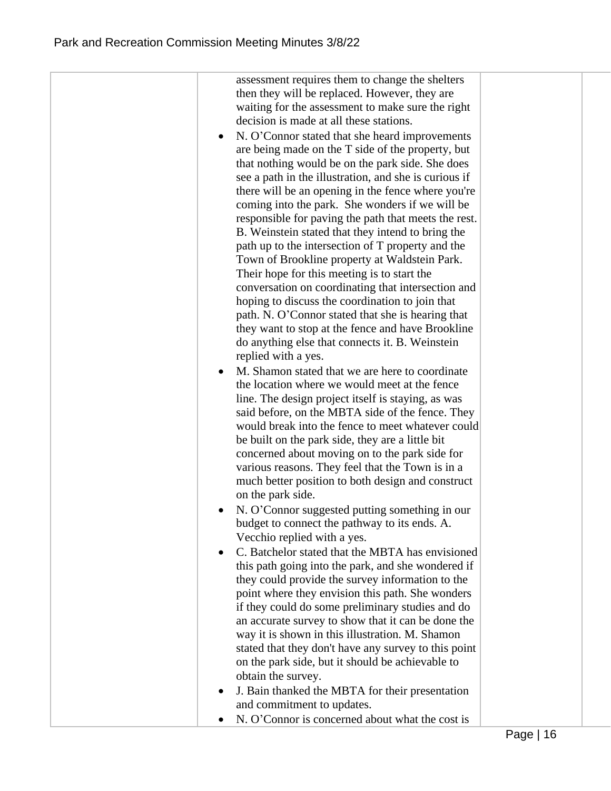| assessment requires them to change the shelters              |  |
|--------------------------------------------------------------|--|
| then they will be replaced. However, they are                |  |
| waiting for the assessment to make sure the right            |  |
| decision is made at all these stations.                      |  |
| N. O'Connor stated that she heard improvements<br>$\bullet$  |  |
| are being made on the T side of the property, but            |  |
| that nothing would be on the park side. She does             |  |
| see a path in the illustration, and she is curious if        |  |
| there will be an opening in the fence where you're           |  |
| coming into the park. She wonders if we will be              |  |
| responsible for paving the path that meets the rest.         |  |
| B. Weinstein stated that they intend to bring the            |  |
| path up to the intersection of T property and the            |  |
| Town of Brookline property at Waldstein Park.                |  |
| Their hope for this meeting is to start the                  |  |
| conversation on coordinating that intersection and           |  |
| hoping to discuss the coordination to join that              |  |
| path. N. O'Connor stated that she is hearing that            |  |
| they want to stop at the fence and have Brookline            |  |
| do anything else that connects it. B. Weinstein              |  |
| replied with a yes.                                          |  |
| M. Shamon stated that we are here to coordinate<br>$\bullet$ |  |
| the location where we would meet at the fence                |  |
| line. The design project itself is staying, as was           |  |
| said before, on the MBTA side of the fence. They             |  |
| would break into the fence to meet whatever could            |  |
| be built on the park side, they are a little bit             |  |
| concerned about moving on to the park side for               |  |
| various reasons. They feel that the Town is in a             |  |
| much better position to both design and construct            |  |
| on the park side.                                            |  |
| N. O'Connor suggested putting something in our               |  |
| budget to connect the pathway to its ends. A.                |  |
| Vecchio replied with a yes.                                  |  |
| C. Batchelor stated that the MBTA has envisioned             |  |
| this path going into the park, and she wondered if           |  |
| they could provide the survey information to the             |  |
| point where they envision this path. She wonders             |  |
| if they could do some preliminary studies and do             |  |
| an accurate survey to show that it can be done the           |  |
| way it is shown in this illustration. M. Shamon              |  |
| stated that they don't have any survey to this point         |  |
| on the park side, but it should be achievable to             |  |
| obtain the survey.                                           |  |
| J. Bain thanked the MBTA for their presentation              |  |
| and commitment to updates.                                   |  |
| N. O'Connor is concerned about what the cost is              |  |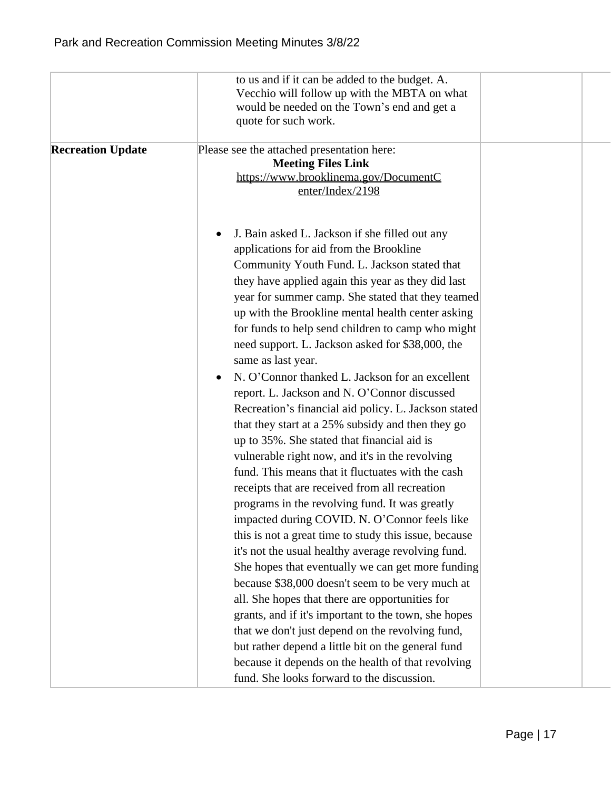|                          | to us and if it can be added to the budget. A.<br>Vecchio will follow up with the MBTA on what<br>would be needed on the Town's end and get a<br>quote for such work.                                                                                                                                                                                                                                                                                                                                                                                                                                                                                                                                                                                                                                                                                                                                                                                                                                                                                                                                                                                                                                                                                                                                                                                                                                                                                                                                                 |  |
|--------------------------|-----------------------------------------------------------------------------------------------------------------------------------------------------------------------------------------------------------------------------------------------------------------------------------------------------------------------------------------------------------------------------------------------------------------------------------------------------------------------------------------------------------------------------------------------------------------------------------------------------------------------------------------------------------------------------------------------------------------------------------------------------------------------------------------------------------------------------------------------------------------------------------------------------------------------------------------------------------------------------------------------------------------------------------------------------------------------------------------------------------------------------------------------------------------------------------------------------------------------------------------------------------------------------------------------------------------------------------------------------------------------------------------------------------------------------------------------------------------------------------------------------------------------|--|
| <b>Recreation Update</b> | Please see the attached presentation here:<br><b>Meeting Files Link</b><br>https://www.brooklinema.gov/DocumentC<br>enter/Index/2198                                                                                                                                                                                                                                                                                                                                                                                                                                                                                                                                                                                                                                                                                                                                                                                                                                                                                                                                                                                                                                                                                                                                                                                                                                                                                                                                                                                  |  |
|                          | J. Bain asked L. Jackson if she filled out any<br>applications for aid from the Brookline<br>Community Youth Fund. L. Jackson stated that<br>they have applied again this year as they did last<br>year for summer camp. She stated that they teamed<br>up with the Brookline mental health center asking<br>for funds to help send children to camp who might<br>need support. L. Jackson asked for \$38,000, the<br>same as last year.<br>N. O'Connor thanked L. Jackson for an excellent<br>report. L. Jackson and N. O'Connor discussed<br>Recreation's financial aid policy. L. Jackson stated<br>that they start at a 25% subsidy and then they go<br>up to 35%. She stated that financial aid is<br>vulnerable right now, and it's in the revolving<br>fund. This means that it fluctuates with the cash<br>receipts that are received from all recreation<br>programs in the revolving fund. It was greatly<br>impacted during COVID. N. O'Connor feels like<br>this is not a great time to study this issue, because<br>it's not the usual healthy average revolving fund.<br>She hopes that eventually we can get more funding<br>because \$38,000 doesn't seem to be very much at<br>all. She hopes that there are opportunities for<br>grants, and if it's important to the town, she hopes<br>that we don't just depend on the revolving fund,<br>but rather depend a little bit on the general fund<br>because it depends on the health of that revolving<br>fund. She looks forward to the discussion. |  |
|                          |                                                                                                                                                                                                                                                                                                                                                                                                                                                                                                                                                                                                                                                                                                                                                                                                                                                                                                                                                                                                                                                                                                                                                                                                                                                                                                                                                                                                                                                                                                                       |  |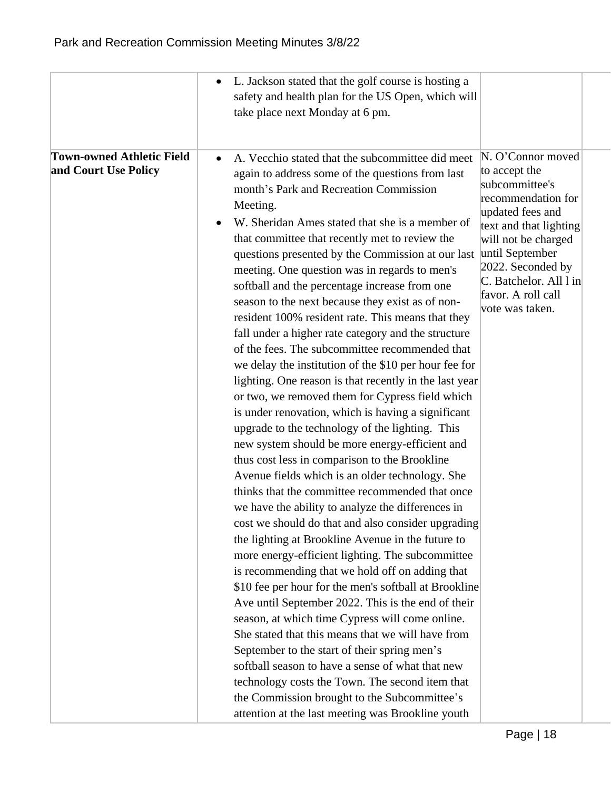|                                                          | L. Jackson stated that the golf course is hosting a<br>safety and health plan for the US Open, which will<br>take place next Monday at 6 pm.                                                                                                                                                                                                                                                                                                                                                                                                                                                                                                                                                                                                                                                                                                                                                                                                                                                                                                                                                                                                                                                                                                                                                                                                                                                                                                                                                                                                                                                                                                                                                                                                                                                                                                                                                                                                                                                                                                                                                                                                          |
|----------------------------------------------------------|-------------------------------------------------------------------------------------------------------------------------------------------------------------------------------------------------------------------------------------------------------------------------------------------------------------------------------------------------------------------------------------------------------------------------------------------------------------------------------------------------------------------------------------------------------------------------------------------------------------------------------------------------------------------------------------------------------------------------------------------------------------------------------------------------------------------------------------------------------------------------------------------------------------------------------------------------------------------------------------------------------------------------------------------------------------------------------------------------------------------------------------------------------------------------------------------------------------------------------------------------------------------------------------------------------------------------------------------------------------------------------------------------------------------------------------------------------------------------------------------------------------------------------------------------------------------------------------------------------------------------------------------------------------------------------------------------------------------------------------------------------------------------------------------------------------------------------------------------------------------------------------------------------------------------------------------------------------------------------------------------------------------------------------------------------------------------------------------------------------------------------------------------------|
| <b>Town-owned Athletic Field</b><br>and Court Use Policy | N. O'Connor moved<br>A. Vecchio stated that the subcommittee did meet<br>to accept the<br>again to address some of the questions from last<br>subcommittee's<br>month's Park and Recreation Commission<br>recommendation for<br>Meeting.<br>updated fees and<br>W. Sheridan Ames stated that she is a member of<br>text and that lighting<br>that committee that recently met to review the<br>will not be charged<br>questions presented by the Commission at our last until September<br>2022. Seconded by<br>meeting. One question was in regards to men's<br>C. Batchelor. All l in<br>softball and the percentage increase from one<br>favor. A roll call<br>season to the next because they exist as of non-<br>vote was taken.<br>resident 100% resident rate. This means that they<br>fall under a higher rate category and the structure<br>of the fees. The subcommittee recommended that<br>we delay the institution of the \$10 per hour fee for<br>lighting. One reason is that recently in the last year<br>or two, we removed them for Cypress field which<br>is under renovation, which is having a significant<br>upgrade to the technology of the lighting. This<br>new system should be more energy-efficient and<br>thus cost less in comparison to the Brookline<br>Avenue fields which is an older technology. She<br>thinks that the committee recommended that once<br>we have the ability to analyze the differences in<br>cost we should do that and also consider upgrading<br>the lighting at Brookline Avenue in the future to<br>more energy-efficient lighting. The subcommittee<br>is recommending that we hold off on adding that<br>\$10 fee per hour for the men's softball at Brookline<br>Ave until September 2022. This is the end of their<br>season, at which time Cypress will come online.<br>She stated that this means that we will have from<br>September to the start of their spring men's<br>softball season to have a sense of what that new<br>technology costs the Town. The second item that<br>the Commission brought to the Subcommittee's<br>attention at the last meeting was Brookline youth |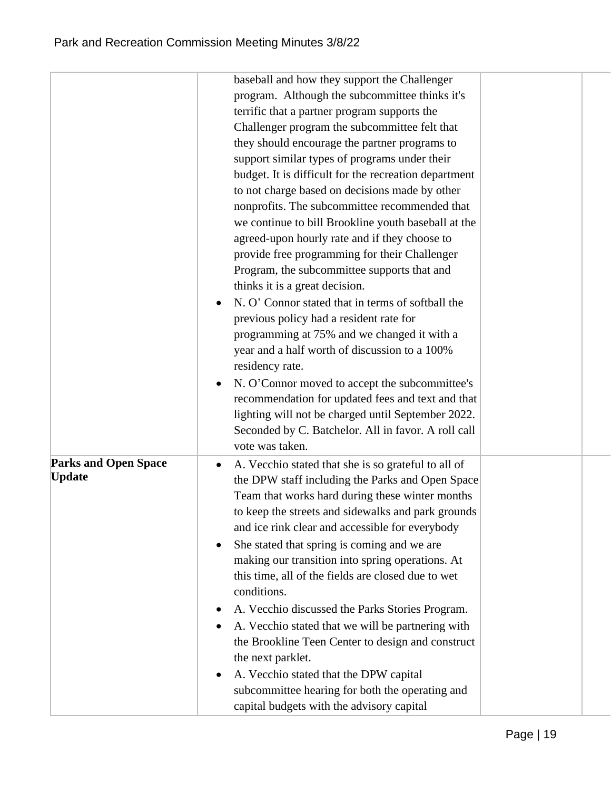|                             | baseball and how they support the Challenger                     |  |
|-----------------------------|------------------------------------------------------------------|--|
|                             | program. Although the subcommittee thinks it's                   |  |
|                             | terrific that a partner program supports the                     |  |
|                             | Challenger program the subcommittee felt that                    |  |
|                             | they should encourage the partner programs to                    |  |
|                             | support similar types of programs under their                    |  |
|                             | budget. It is difficult for the recreation department            |  |
|                             | to not charge based on decisions made by other                   |  |
|                             | nonprofits. The subcommittee recommended that                    |  |
|                             | we continue to bill Brookline youth baseball at the              |  |
|                             | agreed-upon hourly rate and if they choose to                    |  |
|                             | provide free programming for their Challenger                    |  |
|                             | Program, the subcommittee supports that and                      |  |
|                             | thinks it is a great decision.                                   |  |
|                             | N. O' Connor stated that in terms of softball the                |  |
|                             | previous policy had a resident rate for                          |  |
|                             | programming at 75% and we changed it with a                      |  |
|                             | year and a half worth of discussion to a 100%                    |  |
|                             | residency rate.                                                  |  |
|                             | N. O'Connor moved to accept the subcommittee's                   |  |
|                             | recommendation for updated fees and text and that                |  |
|                             | lighting will not be charged until September 2022.               |  |
|                             | Seconded by C. Batchelor. All in favor. A roll call              |  |
|                             | vote was taken.                                                  |  |
| <b>Parks and Open Space</b> | A. Vecchio stated that she is so grateful to all of<br>$\bullet$ |  |
| <b>Update</b>               | the DPW staff including the Parks and Open Space                 |  |
|                             | Team that works hard during these winter months                  |  |
|                             | to keep the streets and sidewalks and park grounds               |  |
|                             | and ice rink clear and accessible for everybody                  |  |
|                             | She stated that spring is coming and we are                      |  |
|                             | making our transition into spring operations. At                 |  |
|                             | this time, all of the fields are closed due to wet               |  |
|                             | conditions.                                                      |  |
|                             | A. Vecchio discussed the Parks Stories Program.                  |  |
|                             | A. Vecchio stated that we will be partnering with                |  |
|                             | the Brookline Teen Center to design and construct                |  |
|                             | the next parklet.                                                |  |
|                             | A. Vecchio stated that the DPW capital                           |  |
|                             | subcommittee hearing for both the operating and                  |  |
|                             | capital budgets with the advisory capital                        |  |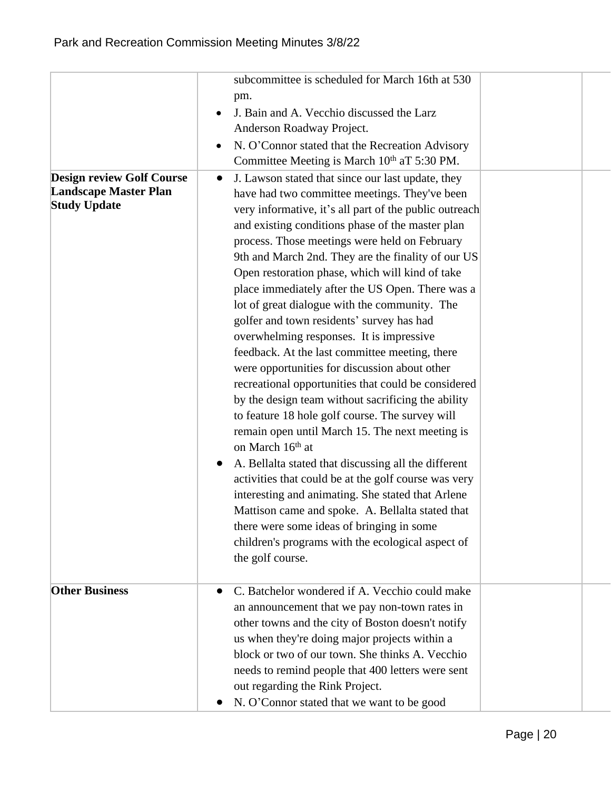|                                  | subcommittee is scheduled for March 16th at 530                   |  |
|----------------------------------|-------------------------------------------------------------------|--|
|                                  | pm.                                                               |  |
|                                  | J. Bain and A. Vecchio discussed the Larz                         |  |
|                                  | Anderson Roadway Project.                                         |  |
|                                  | N. O'Connor stated that the Recreation Advisory                   |  |
|                                  | Committee Meeting is March 10th aT 5:30 PM.                       |  |
| <b>Design review Golf Course</b> | J. Lawson stated that since our last update, they<br>$\bullet$    |  |
| <b>Landscape Master Plan</b>     | have had two committee meetings. They've been                     |  |
| <b>Study Update</b>              | very informative, it's all part of the public outreach            |  |
|                                  | and existing conditions phase of the master plan                  |  |
|                                  | process. Those meetings were held on February                     |  |
|                                  | 9th and March 2nd. They are the finality of our US                |  |
|                                  | Open restoration phase, which will kind of take                   |  |
|                                  | place immediately after the US Open. There was a                  |  |
|                                  | lot of great dialogue with the community. The                     |  |
|                                  | golfer and town residents' survey has had                         |  |
|                                  | overwhelming responses. It is impressive                          |  |
|                                  | feedback. At the last committee meeting, there                    |  |
|                                  | were opportunities for discussion about other                     |  |
|                                  | recreational opportunities that could be considered               |  |
|                                  | by the design team without sacrificing the ability                |  |
|                                  | to feature 18 hole golf course. The survey will                   |  |
|                                  | remain open until March 15. The next meeting is                   |  |
|                                  | on March 16th at                                                  |  |
|                                  | A. Bellalta stated that discussing all the different<br>$\bullet$ |  |
|                                  | activities that could be at the golf course was very              |  |
|                                  | interesting and animating. She stated that Arlene                 |  |
|                                  | Mattison came and spoke. A. Bellalta stated that                  |  |
|                                  | there were some ideas of bringing in some                         |  |
|                                  | children's programs with the ecological aspect of                 |  |
|                                  | the golf course.                                                  |  |
|                                  |                                                                   |  |
| <b>Other Business</b>            | C. Batchelor wondered if A. Vecchio could make<br>$\bullet$       |  |
|                                  | an announcement that we pay non-town rates in                     |  |
|                                  | other towns and the city of Boston doesn't notify                 |  |
|                                  | us when they're doing major projects within a                     |  |
|                                  | block or two of our town. She thinks A. Vecchio                   |  |
|                                  | needs to remind people that 400 letters were sent                 |  |
|                                  | out regarding the Rink Project.                                   |  |
|                                  |                                                                   |  |
|                                  | N. O'Connor stated that we want to be good                        |  |